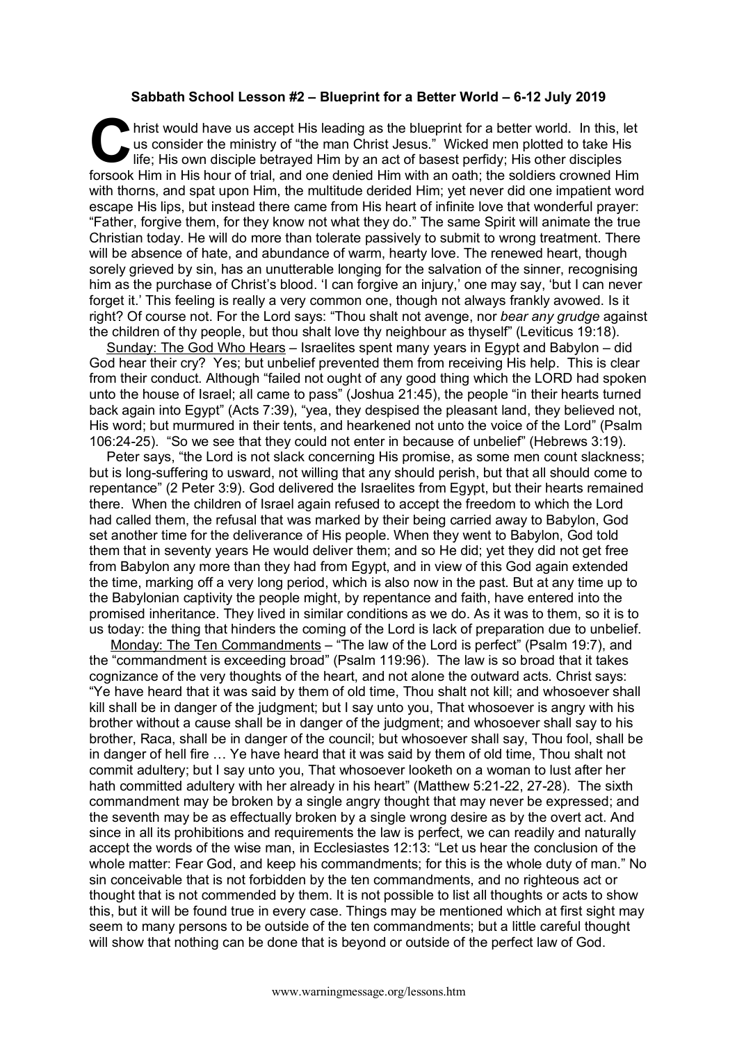## **Sabbath School Lesson #2 – Blueprint for a Better World – 6-12 July 2019**

hrist would have us accept His leading as the blueprint for a better world. In this, let us consider the ministry of "the man Christ Jesus." Wicked men plotted to take His life; His own disciple betrayed Him by an act of b us consider the ministry of "the man Christ Jesus." Wicked men plotted to take His life; His own disciple betrayed Him by an act of basest perfidy; His other disciples forsook Him in His hour of trial, and one denied Him with an oath; the soldiers crowned Him with thorns, and spat upon Him, the multitude derided Him; yet never did one impatient word escape His lips, but instead there came from His heart of infinite love that wonderful prayer: "Father, forgive them, for they know not what they do." The same Spirit will animate the true Christian today. He will do more than tolerate passively to submit to wrong treatment. There will be absence of hate, and abundance of warm, hearty love. The renewed heart, though sorely grieved by sin, has an unutterable longing for the salvation of the sinner, recognising him as the purchase of Christ's blood. 'I can forgive an injury,' one may say, 'but I can never forget it.' This feeling is really a very common one, though not always frankly avowed. Is it right? Of course not. For the Lord says: "Thou shalt not avenge, nor *bear any grudge* against the children of thy people, but thou shalt love thy neighbour as thyself" (Leviticus 19:18).

Sunday: The God Who Hears – Israelites spent many years in Egypt and Babylon – did God hear their cry? Yes; but unbelief prevented them from receiving His help. This is clear from their conduct. Although "failed not ought of any good thing which the LORD had spoken unto the house of Israel; all came to pass" (Joshua 21:45), the people "in their hearts turned back again into Egypt" (Acts 7:39), "yea, they despised the pleasant land, they believed not, His word; but murmured in their tents, and hearkened not unto the voice of the Lord" (Psalm 106:24-25). "So we see that they could not enter in because of unbelief" (Hebrews 3:19).

Peter says, "the Lord is not slack concerning His promise, as some men count slackness; but is long-suffering to usward, not willing that any should perish, but that all should come to repentance" (2 Peter 3:9). God delivered the Israelites from Egypt, but their hearts remained there. When the children of Israel again refused to accept the freedom to which the Lord had called them, the refusal that was marked by their being carried away to Babylon, God set another time for the deliverance of His people. When they went to Babylon, God told them that in seventy years He would deliver them; and so He did; yet they did not get free from Babylon any more than they had from Egypt, and in view of this God again extended the time, marking off a very long period, which is also now in the past. But at any time up to the Babylonian captivity the people might, by repentance and faith, have entered into the promised inheritance. They lived in similar conditions as we do. As it was to them, so it is to us today: the thing that hinders the coming of the Lord is lack of preparation due to unbelief.

Monday: The Ten Commandments – "The law of the Lord is perfect" (Psalm 19:7), and the "commandment is exceeding broad" (Psalm 119:96). The law is so broad that it takes cognizance of the very thoughts of the heart, and not alone the outward acts. Christ says: "Ye have heard that it was said by them of old time, Thou shalt not kill; and whosoever shall kill shall be in danger of the judgment; but I say unto you, That whosoever is angry with his brother without a cause shall be in danger of the judgment; and whosoever shall say to his brother, Raca, shall be in danger of the council; but whosoever shall say, Thou fool, shall be in danger of hell fire … Ye have heard that it was said by them of old time, Thou shalt not commit adultery; but I say unto you, That whosoever looketh on a woman to lust after her hath committed adultery with her already in his heart" (Matthew 5:21-22, 27-28). The sixth commandment may be broken by a single angry thought that may never be expressed; and the seventh may be as effectually broken by a single wrong desire as by the overt act. And since in all its prohibitions and requirements the law is perfect, we can readily and naturally accept the words of the wise man, in Ecclesiastes 12:13: "Let us hear the conclusion of the whole matter: Fear God, and keep his commandments; for this is the whole duty of man." No sin conceivable that is not forbidden by the ten commandments, and no righteous act or thought that is not commended by them. It is not possible to list all thoughts or acts to show this, but it will be found true in every case. Things may be mentioned which at first sight may seem to many persons to be outside of the ten commandments; but a little careful thought will show that nothing can be done that is beyond or outside of the perfect law of God.